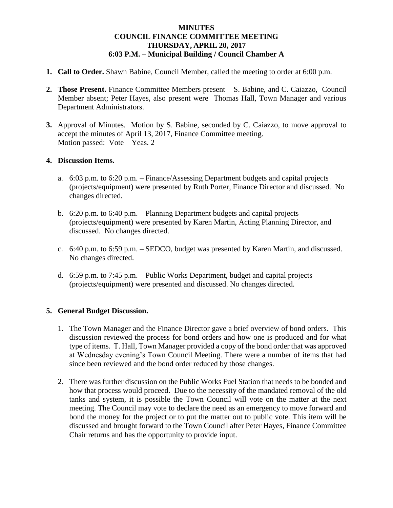## **MINUTES COUNCIL FINANCE COMMITTEE MEETING THURSDAY, APRIL 20, 2017 6:03 P.M. – Municipal Building / Council Chamber A**

- **1. Call to Order.** Shawn Babine, Council Member, called the meeting to order at 6:00 p.m.
- **2. Those Present.** Finance Committee Members present S. Babine, and C. Caiazzo, Council Member absent; Peter Hayes, also present were Thomas Hall, Town Manager and various Department Administrators.
- **3.** Approval of Minutes. Motion by S. Babine, seconded by C. Caiazzo, to move approval to accept the minutes of April 13, 2017, Finance Committee meeting. Motion passed: Vote – Yeas. 2

## **4. Discussion Items.**

- a. 6:03 p.m. to 6:20 p.m. Finance/Assessing Department budgets and capital projects (projects/equipment) were presented by Ruth Porter, Finance Director and discussed. No changes directed.
- b. 6:20 p.m. to 6:40 p.m. Planning Department budgets and capital projects (projects/equipment) were presented by Karen Martin, Acting Planning Director, and discussed. No changes directed.
- c. 6:40 p.m. to 6:59 p.m. SEDCO, budget was presented by Karen Martin, and discussed. No changes directed.
- d. 6:59 p.m. to 7:45 p.m. Public Works Department, budget and capital projects (projects/equipment) were presented and discussed. No changes directed.

## **5. General Budget Discussion.**

- 1. The Town Manager and the Finance Director gave a brief overview of bond orders. This discussion reviewed the process for bond orders and how one is produced and for what type of items. T. Hall, Town Manager provided a copy of the bond order that was approved at Wednesday evening's Town Council Meeting. There were a number of items that had since been reviewed and the bond order reduced by those changes.
- 2. There was further discussion on the Public Works Fuel Station that needs to be bonded and how that process would proceed. Due to the necessity of the mandated removal of the old tanks and system, it is possible the Town Council will vote on the matter at the next meeting. The Council may vote to declare the need as an emergency to move forward and bond the money for the project or to put the matter out to public vote. This item will be discussed and brought forward to the Town Council after Peter Hayes, Finance Committee Chair returns and has the opportunity to provide input.